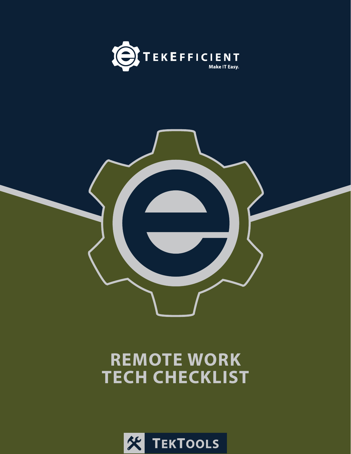



## **REMOTE WORK TECH CHECKLIST**

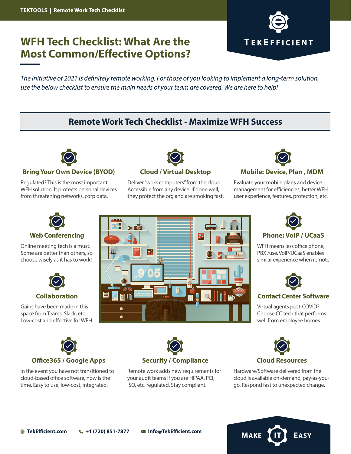## **WFH Tech Checklist: What Are the Most Common/Effective Options?**



*The initiative of 2021 is definitely remote working. For those of you looking to implement a long-term solution, use the below checklist to ensure the main needs of your team are covered. We are here to help!*

## **Remote Work Tech Checklist - Maximize WFH Success**



### **Bring Your Own Device (BYOD)**

Regulated? This is the most important WFH solution. It protects personal devices from threatening networks, corp data.



Deliver "work computers" from the cloud. Accessible from any device. If done well, they protect the org and are smoking fast.



### **Cloud / Virtual Desktop Mobile: Device, Plan , MDM**

Evaluate your mobile plans and device management for efficiencies, better WFH user experience, features, protection, etc.



### **Web Conferencing**

Online meeting tech is a must. Some are better than others, so choose wisely as it has to work!



### **Collaboration**

Gains have been made in this space from Teams, Slack, etc. Low-cost and effective for WFH.





WFH means less office phone, PBX /use. VoIP/UCaaS enables similar experience when remote



### **Contact Center Software**

Virtual agents post-COVID? Choose CC tech that performs well from employee homes.



In the event you have not transitioned to cloud-based office software, now is the time. Easy to use, low-cost, integrated.



Remote work adds new requirements for your audit teams if you are HIPAA, PCI, ISO, etc. regulated. Stay compliant.



Hardware/Software delivered from the cloud is available on-demand, pay-as-yougo. Respond fast to unexpected change.

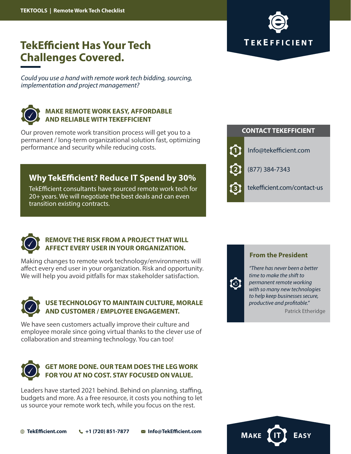# **TEKEFFICIENT**

## **TekEfficient Has Your Tech Challenges Covered.**

*Could you use a hand with remote work tech bidding, sourcing, implementation and project management?*



## **MAKE REMOTE WORK EASY, AFFORDABLE AND RELIABLE WITH TEKEFFICIENT**

Our proven remote work transition process will get you to a permanent / long-term organizational solution fast, optimizing performance and security while reducing costs.

## **Why TekEfficient? Reduce IT Spend by 30%**

TekEfficient consultants have sourced remote work tech for 20+ years. We will negotiate the best deals and can even transition existing contracts.





## **REMOVE THE RISK FROM A PROJECT THAT WILL AFFECT EVERY USER IN YOUR ORGANIZATION.**

Making changes to remote work technology/environments will affect every end user in your organization. Risk and opportunity. We will help you avoid pitfalls for max stakeholder satisfaction.



## **USE TECHNOLOGY TO MAINTAIN CULTURE, MORALE AND CUSTOMER / EMPLOYEE ENGAGEMENT.**

We have seen customers actually improve their culture and employee morale since going virtual thanks to the clever use of collaboration and streaming technology. You can too!



## **GET MORE DONE. OUR TEAM DOES THE LEG WORK FOR YOU AT NO COST. STAY FOCUSED ON VALUE.**

Leaders have started 2021 behind. Behind on planning, staffing, budgets and more. As a free resource, it costs you nothing to let us source your remote work tech, while you focus on the rest.

## **From the President**

*"There has never been a better time to make the shift to permanent remote working with so many new technologies to help keep businesses secure, productive and profitable."*

 $\bigcirc$ 

Patrick Etheridge